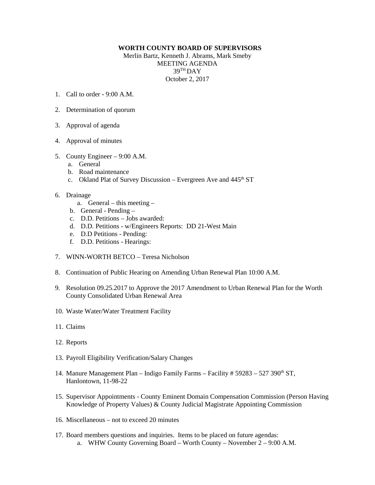## **WORTH COUNTY BOARD OF SUPERVISORS**

Merlin Bartz, Kenneth J. Abrams, Mark Smeby MEETING AGENDA 39TH DAY October 2, 2017

- 1. Call to order  $9.00 \text{ A M}$
- 2. Determination of quorum
- 3. Approval of agenda
- 4. Approval of minutes
- 5. County Engineer 9:00 A.M.
	- a. General
	- b. Road maintenance
	- c. Okland Plat of Survey Discussion Evergreen Ave and  $445<sup>th</sup>$  ST
- 6. Drainage
	- a. General this meeting –
	- b. General Pending –
	- c. D.D. Petitions Jobs awarded:
	- d. D.D. Petitions w/Engineers Reports: DD 21-West Main
	- e. D.D Petitions Pending:
	- f. D.D. Petitions Hearings:
- 7. WINN-WORTH BETCO Teresa Nicholson
- 8. Continuation of Public Hearing on Amending Urban Renewal Plan 10:00 A.M.
- 9. Resolution 09.25.2017 to Approve the 2017 Amendment to Urban Renewal Plan for the Worth County Consolidated Urban Renewal Area
- 10. Waste Water/Water Treatment Facility
- 11. Claims
- 12. Reports
- 13. Payroll Eligibility Verification/Salary Changes
- 14. Manure Management Plan Indigo Family Farms Facility # 59283 527 390<sup>th</sup> ST, Hanlontown, 11-98-22
- 15. Supervisor Appointments County Eminent Domain Compensation Commission (Person Having Knowledge of Property Values) & County Judicial Magistrate Appointing Commission
- 16. Miscellaneous not to exceed 20 minutes
- 17. Board members questions and inquiries. Items to be placed on future agendas: a. WHW County Governing Board – Worth County – November 2 – 9:00 A.M.